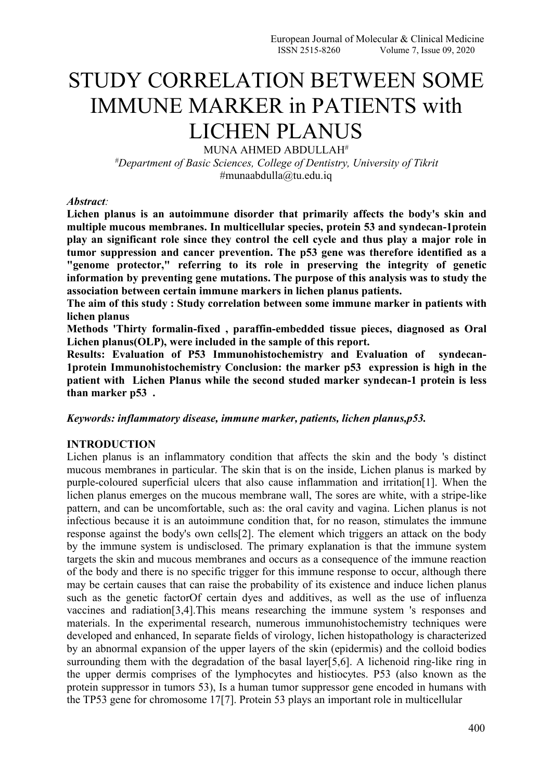# STUDY CORRELATION BETWEEN SOME IMMUNE MARKER in PATIENTS with LICHEN PLANUS

MUNA AHMED ABDULLAH<sup>#</sup> *#Department of Basic Sciences, College of Dentistry, University of Tikrit* #munaabdulla@tu.edu.iq

*Abstract:*

Lichen planus is an autoimmune disorder that primarily affects the body's skin and **multiple mucous membranes. In multicellular species, protein 53 and syndecan-1protein play an significant role since they control the cell cycle and thus play a major role in tumor suppression and cancer prevention. The p53 gene was therefore identified as a "genome protector," referring to its role in preserving the integrity of genetic information by preventing gene mutations. The purpose of this analysis was to study the association between certain immune markers in lichen planus patients.**

**The aim of this study : Study correlation between some immune marker in patients with lichen planus**

**Methods 'Thirty formalin-fixed , paraffin-embedded tissue pieces, diagnosed as Oral Lichen planus(OLP), were included in the sample of this report.**

**Results: Evaluation of P53 Immunohistochemistry and Evaluation of syndecan- 1protein Immunohistochemistry Conclusion: the marker p53 expression is high in the patient with Lichen Planus while the second studed marker syndecan-1 protein is less than marker p53 .**

*Keywords: inflammatory disease, immune marker, patients, lichen planus,p53.*

### **INTRODUCTION**

Lichen planus is an inflammatory condition that affects the skin and the body 's distinct mucous membranes in particular. The skin that is on the inside, Lichen planus is marked by purple-coloured superficial ulcers that also cause inflammation and irritation[1]. When the lichen planus emerges on the mucous membrane wall, The sores are white, with a stripe-like pattern, and can be uncomfortable, such as: the oral cavity and vagina. Lichen planus is not infectious because it is an autoimmune condition that, for no reason, stimulates the immune response against the body's own cells[2]. The element which triggers an attack on the body by the immune system is undisclosed. The primary explanation is that the immune system targets the skin and mucous membranes and occurs as a consequence of the immune reaction of the body and there is no specific trigger for this immune response to occur, although there may be certain causes that can raise the probability of its existence and induce lichen planus such as the genetic factorOf certain dyes and additives, as well as the use of influenza vaccines and radiation[3,4].This means researching the immune system 's responses and materials. In the experimental research, numerous immunohistochemistry techniques were developed and enhanced, In separate fields of virology, lichen histopathology is characterized by an abnormal expansion of the upper layers of the skin (epidermis) and the colloid bodies surrounding them with the degradation of the basal layer[5,6]. A lichenoid ring-like ring in the upper dermis comprises of the lymphocytes and histiocytes. P53 (also known as the protein suppressor in tumors 53), Is a human tumor suppressor gene encoded in humans with the TP53 gene for chromosome 17[7]. Protein 53 plays an important role in multicellular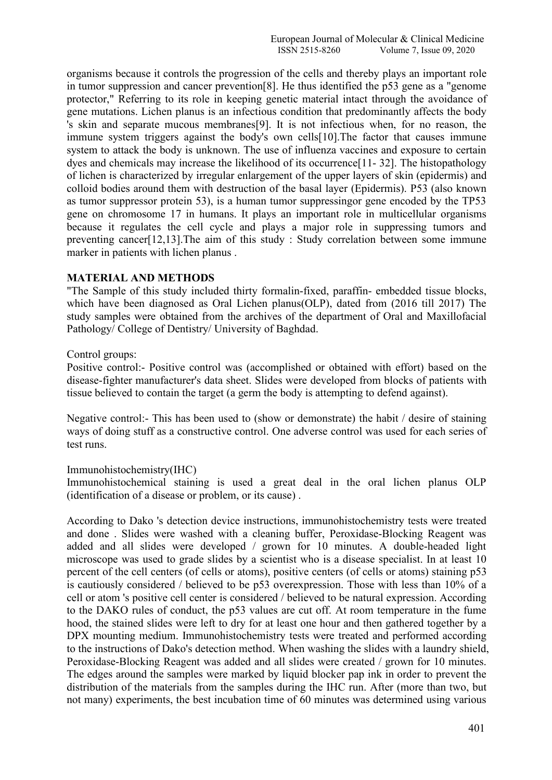organisms because it controls the progression of the cells and thereby plays an important role in tumor suppression and cancer prevention[8]. He thus identified the p53 gene as a "genome protector," Referring to its role in keeping genetic material intact through the avoidance of gene mutations. Lichen planus is an infectious condition that predominantly affects the body 's skin and separate mucous membranes[9]. It is not infectious when, for no reason, the immune system triggers against the body's own cells[10].The factor that causes immune system to attack the body is unknown. The use of influenza vaccines and exposure to certain dyes and chemicals may increase the likelihood of its occurrence[11- 32]. The histopathology of lichen is characterized by irregular enlargement of the upper layers of skin (epidermis) and colloid bodies around them with destruction of the basal layer (Epidermis). P53 (also known as tumor suppressor protein 53), is a human tumor suppressingor gene encoded by the TP53 gene on chromosome 17 in humans. It plays an important role in multicellular organisms because it regulates the cell cycle and plays a major role in suppressing tumors and preventing cancer[12,13].The aim of this study : Study correlation between some immune marker in patients with lichen planus .

### **MATERIAL AND METHODS**

"The Sample of this study included thirty formalin-fixed, paraffin- embedded tissue blocks, which have been diagnosed as Oral Lichen planus(OLP), dated from (2016 till 2017) The study samples were obtained from the archives of the department of Oral and Maxillofacial Pathology/ College of Dentistry/ University of Baghdad.

### Control groups:

Positive control:- Positive control was (accomplished or obtained with effort) based on the disease-fighter manufacturer's data sheet. Slides were developed from blocks of patients with tissue believed to contain the target (a germ the body is attempting to defend against).

Negative control:- This has been used to (show or demonstrate) the habit / desire of staining ways of doing stuff as a constructive control. One adverse control was used for each series of test runs.

### Immunohistochemistry(IHC)

Immunohistochemical staining is used a great deal in the oral lichen planus OLP (identification of a disease or problem, or its cause) .

According to Dako 's detection device instructions, immunohistochemistry tests were treated and done . Slides were washed with a cleaning buffer, Peroxidase-Blocking Reagent was added and all slides were developed / grown for 10 minutes. A double-headed light microscope was used to grade slides by a scientist who is a disease specialist. In at least 10 percent of the cell centers (of cells or atoms), positive centers (of cells or atoms) staining p53 is cautiously considered / believed to be p53 overexpression. Those with less than 10% of a cell or atom 's positive cell center is considered / believed to be natural expression. According to the DAKO rules of conduct, the p53 values are cut off. At room temperature in the fume hood, the stained slides were left to dry for at least one hour and then gathered together by a DPX mounting medium. Immunohistochemistry tests were treated and performed according to the instructions of Dako's detection method. When washing the slides with a laundry shield, Peroxidase-Blocking Reagent was added and all slides were created / grown for 10 minutes. The edges around the samples were marked by liquid blocker pap ink in order to prevent the distribution of the materials from the samples during the IHC run. After (more than two, but not many) experiments, the best incubation time of 60 minutes was determined using various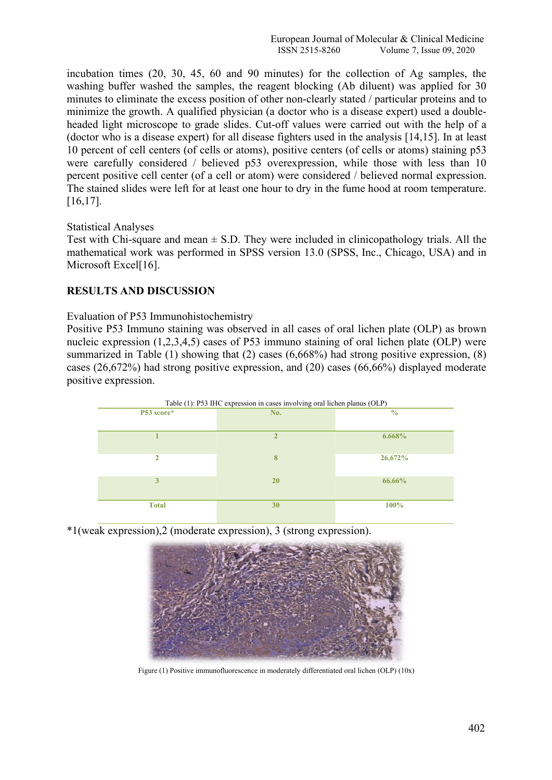incubation times (20, 30, 45, 60 and 90 minutes) for the collection of Ag samples, the washing buffer washed the samples, the reagent blocking (Ab diluent) was applied for 30 minutes to eliminate the excess position of other non-clearly stated / particular proteins and to minimize the growth. A qualified physician (a doctor who is a disease expert) used a double headed light microscope to grade slides. Cut-off values were carried out with the help of a (doctor who is a disease expert) for all disease fighters used in the analysis [14,15]. In at least 10 percent of cell centers (of cells or atoms), positive centers (of cells or atoms) staining p53 were carefully considered / believed p53 overexpression, while those with less than 10 percent positive cell center (of a cell or atom) were considered / believed normal expression. The stained slides were left for at least one hour to dry in the fume hood at room temperature. [16,17].

### Statistical Analyses

Test with Chi-square and mean  $\pm$  S.D. They were included in clinicopathology trials. All the mathematical work was performed in SPSS version 13.0 (SPSS, Inc., Chicago, USA) and in Microsoft Excel<sup>[16]</sup>.

## **RESULTS AND DISCUSSION**

Evaluation of P53 Immunohistochemistry

Positive P53 Immuno staining was observed in all cases of oral lichen plate (OLP) as brown nucleic expression  $(1,2,3,4,5)$  cases of P53 immuno staining of oral lichen plate (OLP) were summarized in Table (1) showing that (2) cases (6,668%) had strong positive expression, (8) cases (26,672%) had strong positive expression, and (20) cases (66,66%) displayed moderate positive expression.



\*1(weak expression),2 (moderate expression), 3 (strong expression).



Figure (1) Positive immunofluorescence in moderately differentiated oral lichen (OLP) (10x)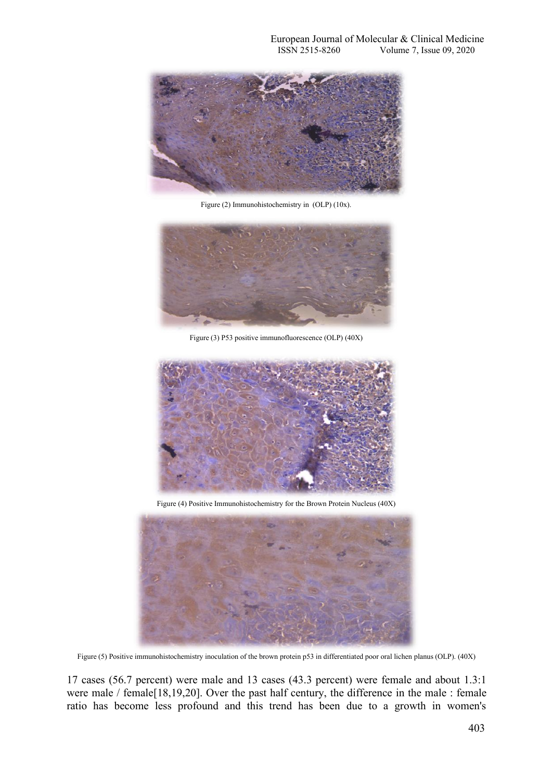

Figure (2) Immunohistochemistry in (OLP) (10x).



Figure (3) P53 positive immunofluorescence (OLP) (40X)



Figure (4) Positive Immunohistochemistry for the Brown Protein Nucleus (40X)



Figure (5) Positive immunohistochemistry inoculation of the brown protein p53 in differentiated poor oral lichen planus (OLP). (40X)

17 cases (56.7 percent) were male and 13 cases (43.3 percent) were female and about 1.3:1 were male / female[18,19,20]. Over the past half century, the difference in the male : female ratio has become less profound and this trend has been due to a growth in women's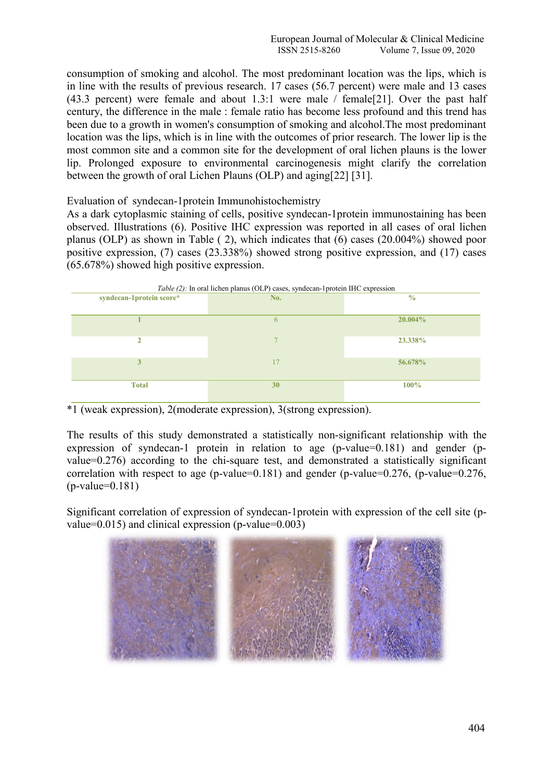consumption of smoking and alcohol. The most predominant location was the lips, which is in line with the results of previous research. 17 cases (56.7 percent) were male and 13 cases (43.3 percent) were female and about 1.3:1 were male  $/$  female[21]. Over the past half century, the difference in the male : female ratio has become less profound and this trend has been due to a growth in women's consumption of smoking and alcohol.The most predominant location was the lips, which is in line with the outcomes of prior research. The lower lip is the most common site and a common site for the development of oral lichen plauns is the lower lip. Prolonged exposure to environmental carcinogenesis might clarify the correlation between the growth of oral Lichen Plauns (OLP) and aging[22] [31].

Evaluation of syndecan-1protein Immunohistochemistry

As a dark cytoplasmic staining of cells, positive syndecan-1protein immunostaining has been observed. Illustrations (6). Positive IHC expression was reported in all cases of oral lichen planus (OLP) as shown in Table ( 2), which indicates that (6) cases (20.004%) showed poor positive expression, (7) cases (23.338%) showed strong positive expression, and (17) cases (65.678%) showed high positive expression.



\*1 (weak expression), 2(moderate expression), 3(strong expression).

The results of this study demonstrated a statistically non-significant relationship with the expression of syndecan-1 protein in relation to age (p-value=0.181) and gender (p value=0.276) according to the chi-square test, and demonstrated a statistically significant correlation with respect to age (p-value=0.181) and gender (p-value=0.276, (p-value=0.276,  $(p-value=0.181)$ 

Significant correlation of expression of syndecan-1protein with expression of the cell site (p value=0.015) and clinical expression  $(p$ -value=0.003)

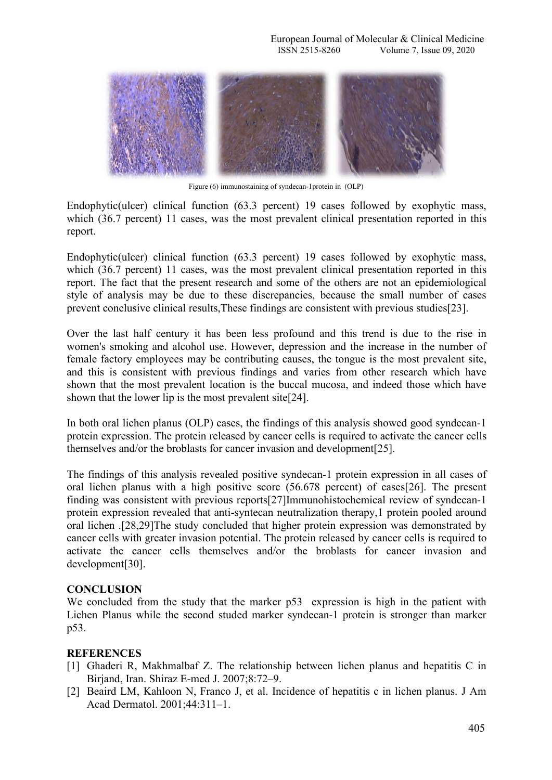

Figure (6) immunostaining of syndecan-1protein in (OLP)

Endophytic(ulcer) clinical function (63.3 percent) 19 cases followed by exophytic mass, which (36.7 percent) 11 cases, was the most prevalent clinical presentation reported in this report.

Endophytic(ulcer) clinical function (63.3 percent) 19 cases followed by exophytic mass, which (36.7 percent) 11 cases, was the most prevalent clinical presentation reported in this report. The fact that the present research and some of the others are not an epidemiological style of analysis may be due to these discrepancies, because the small number of cases prevent conclusive clinical results,These findings are consistent with previous studies[23].

Over the last half century it has been less profound and this trend is due to the rise in women's smoking and alcohol use. However, depression and the increase in the number of female factory employees may be contributing causes, the tongue is the most prevalent site, and this is consistent with previous findings and varies from other research which have shown that the most prevalent location is the buccal mucosa, and indeed those which have shown that the lower lip is the most prevalent site[24].

In both oral lichen planus (OLP) cases, the findings of this analysis showed good syndecan-1 protein expression. The protein released by cancer cells is required to activate the cancer cells themselves and/or the broblasts for cancer invasion and development[25].

The findings of this analysis revealed positive syndecan-1 protein expression in all cases of oral lichen planus with a high positive score (56.678 percent) of cases[26]. The present finding was consistent with previous reports[27]Immunohistochemical review of syndecan-1 protein expression revealed that anti-syntecan neutralization therapy,1 protein pooled around oral lichen .[28,29]The study concluded that higher protein expression was demonstrated by cancer cells with greater invasion potential. The protein released by cancer cells is required to activate the cancer cells themselves and/or the broblasts for cancer invasion and development[30].

## **CONCLUSION**

We concluded from the study that the marker p53 expression is high in the patient with Lichen Planus while the second studed marker syndecan-1 protein is stronger than marker p53.

### **REFERENCES**

- [1] Ghaderi R, Makhmalbaf Z. The relationship between lichen planus and hepatitis C in Birjand, Iran. Shiraz E-med J. 2007;8:72–9.
- [2] Beaird LM, Kahloon N, Franco J, et al. Incidence of hepatitis c in lichen planus. J Am Acad Dermatol. 2001;44:311–1.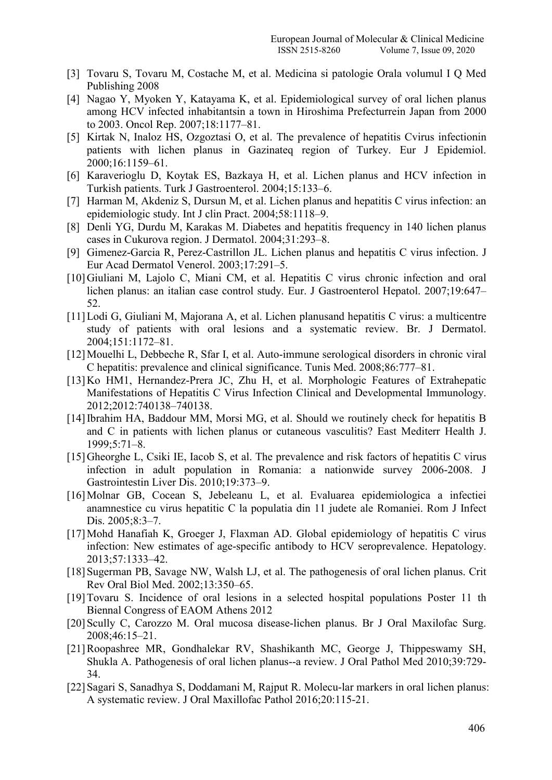- [3] Tovaru S, Tovaru M, Costache M, et al. Medicina si patologie Orala volumul I Q Med Publishing 2008
- [4] Nagao Y, Myoken Y, Katayama K, et al. Epidemiological survey of oral lichen planus among HCV infected inhabitantsin a town in Hiroshima Prefecturrein Japan from 2000 to 2003. Oncol Rep. 2007;18:1177–81.
- [5] Kirtak N, Inaloz HS, Ozgoztasi O, et al. The prevalence of hepatitis Cvirus infectionin patients with lichen planus in Gazinateq region of Turkey. Eur J Epidemiol. 2000;16:1159–61.
- [6] Karaverioglu D, Koytak ES, Bazkaya H, et al. Lichen planus and HCV infection in Turkish patients. Turk J Gastroenterol. 2004;15:133–6.
- [7] Harman M, Akdeniz S, Dursun M, et al. Lichen planus and hepatitis C virus infection: an epidemiologic study. Int J clin Pract. 2004;58:1118–9.
- [8] Denli YG, Durdu M, Karakas M. Diabetes and hepatitis frequency in 140 lichen planus cases in Cukurova region. J Dermatol. 2004;31:293–8.
- [9] Gimenez-Garcia R, Perez-Castrillon JL. Lichen planus and hepatitis C virus infection. J Eur Acad Dermatol Venerol. 2003;17:291–5.
- [10] Giuliani M, Lajolo C, Miani CM, et al. Hepatitis C virus chronic infection and oral lichen planus: an italian case control study. Eur. J Gastroenterol Hepatol. 2007;19:647– 52.
- [11]Lodi G, Giuliani M, Majorana A, et al. Lichen planusand hepatitis C virus: a multicentre study of patients with oral lesions and a systematic review. Br. J Dermatol. 2004;151:1172–81.
- [12]Mouelhi L, Debbeche R, Sfar I, et al. Auto-immune serological disorders in chronic viral C hepatitis: prevalence and clinical significance. Tunis Med. 2008;86:777–81.
- [13]Ko HM1, Hernandez-Prera JC, Zhu H, et al. Morphologic Features of Extrahepatic Manifestations of Hepatitis C Virus Infection Clinical and Developmental Immunology. 2012;2012:740138–740138.
- [14] Ibrahim HA, Baddour MM, Morsi MG, et al. Should we routinely check for hepatitis B and C in patients with lichen planus or cutaneous vasculitis? East Mediterr Health J. 1999;5:71–8.
- [15] Gheorghe L, Csiki IE, Iacob S, et al. The prevalence and risk factors of hepatitis C virus infection in adult population in Romania: a nationwide survey 2006-2008. J Gastrointestin Liver Dis. 2010;19:373–9.
- [16]Molnar GB, Cocean S, Jebeleanu L, et al. Evaluarea epidemiologica a infectiei anamnestice cu virus hepatitic C la populatia din 11 judete ale Romaniei. Rom J Infect Dis. 2005;8:3-7.
- [17]Mohd Hanafiah K, Groeger J, Flaxman AD. Global epidemiology of hepatitis C virus infection: New estimates of age-specific antibody to HCV seroprevalence. Hepatology. 2013;57:1333–42.
- [18] Sugerman PB, Savage NW, Walsh LJ, et al. The pathogenesis of oral lichen planus. Crit Rev Oral Biol Med. 2002;13:350–65.
- [19]Tovaru S. Incidence of oral lesions in a selected hospital populations Poster 11 th Biennal Congress of EAOM Athens 2012
- [20]Scully C, Carozzo M. Oral mucosa disease-lichen planus. Br J Oral Maxilofac Surg. 2008;46:15–21.
- [21]Roopashree MR, Gondhalekar RV, Shashikanth MC, George J, Thippeswamy SH, Shukla A. Pathogenesis of oral lichen planus--a review. J Oral Pathol Med 2010;39:729- 34.
- [22]Sagari S, Sanadhya S, Doddamani M, Rajput R. Molecu-lar markers in oral lichen planus: A systematic review. J Oral Maxillofac Pathol 2016;20:115-21.